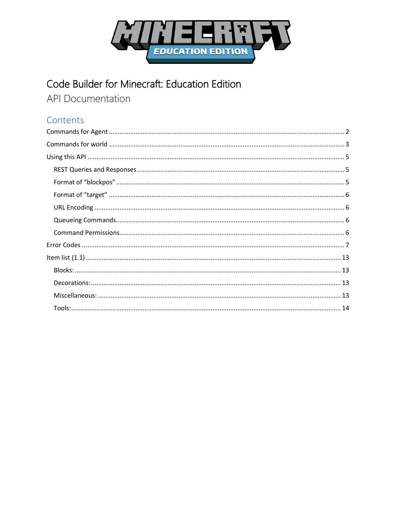

# Code Builder for Minecraft: Education Edition

**API Documentation** 

### Contents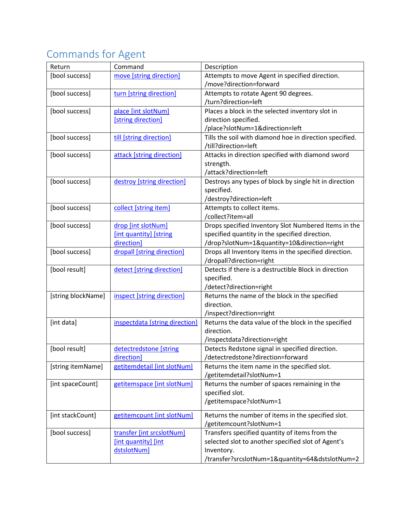# <span id="page-1-0"></span>Commands for Agent

| Return             | Command                        | Description                                             |
|--------------------|--------------------------------|---------------------------------------------------------|
| [bool success]     | move [string direction]        | Attempts to move Agent in specified direction.          |
|                    |                                | /move?direction=forward                                 |
| [bool success]     | turn [string direction]        | Attempts to rotate Agent 90 degrees.                    |
|                    |                                | /turn?direction=left                                    |
| [bool success]     | place [int slotNum]            | Places a block in the selected inventory slot in        |
|                    | [string direction]             | direction specified.                                    |
|                    |                                | /place?slotNum=1&direction=left                         |
| [bool success]     | till [string direction]        | Tills the soil with diamond hoe in direction specified. |
|                    |                                | /till?direction=left                                    |
| [bool success]     | attack [string direction]      | Attacks in direction specified with diamond sword       |
|                    |                                | strength.                                               |
|                    |                                | /attack?direction=left                                  |
| [bool success]     | destroy [string direction]     | Destroys any types of block by single hit in direction  |
|                    |                                | specified.                                              |
|                    |                                | /destroy?direction=left                                 |
| [bool success]     | collect [string item]          | Attempts to collect items.                              |
|                    |                                | /collect?item=all                                       |
| [bool success]     | drop [int slotNum]             | Drops specified Inventory Slot Numbered Items in the    |
|                    | [int quantity] [string         | specified quantity in the specified direction.          |
|                    | direction]                     | /drop?slotNum=1&quantity=10&direction=right             |
| [bool success]     | dropall [string direction]     | Drops all Inventory Items in the specified direction.   |
|                    |                                | /dropall?direction=right                                |
| [bool result]      | detect [string direction]      | Detects if there is a destructible Block in direction   |
|                    |                                | specified.                                              |
|                    |                                | /detect?direction=right                                 |
| [string blockName] | inspect [string direction]     | Returns the name of the block in the specified          |
|                    |                                | direction.                                              |
|                    |                                | /inspect?direction=right                                |
| [int data]         | inspectdata [string direction] | Returns the data value of the block in the specified    |
|                    |                                | direction.                                              |
|                    |                                | /inspectdata?direction=right                            |
| [bool result]      | detectredstone [string         | Detects Redstone signal in specified direction.         |
|                    | direction]                     | /detectredstone?direction=forward                       |
| [string itemName]  | getitemdetail [int slotNum]    | Returns the item name in the specified slot.            |
|                    |                                | /getitemdetail?slotNum=1                                |
| [int spaceCount]   | getitemspace [int slotNum]     | Returns the number of spaces remaining in the           |
|                    |                                | specified slot.                                         |
|                    |                                | /getitemspace?slotNum=1                                 |
| [int stackCount]   | getitemcount [int slotNum]     | Returns the number of items in the specified slot.      |
|                    |                                | /getitemcount?slotNum=1                                 |
| [bool success]     | transfer [int srcslotNum]      | Transfers specified quantity of items from the          |
|                    | [int quantity] [int            | selected slot to another specified slot of Agent's      |
|                    | dstslotNum]                    | Inventory.                                              |
|                    |                                | /transfer?srcslotNum=1&quantity=64&dstslotNum=2         |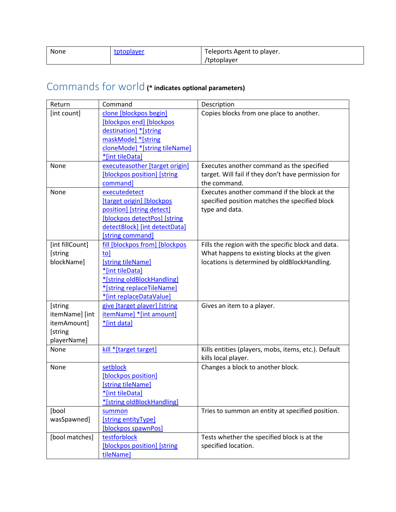| None | tptoplayer | Teleports Agent to player. |
|------|------------|----------------------------|
|      |            | /tptoplayer                |

# <span id="page-2-0"></span>Commands for world **(\* indicates optional parameters)**

| Return          | Command                        | Description                                          |
|-----------------|--------------------------------|------------------------------------------------------|
| [int count]     | clone [blockpos begin]         | Copies blocks from one place to another.             |
|                 | [blockpos end] [blockpos       |                                                      |
|                 | destination] *[string          |                                                      |
|                 | maskMode] *[string             |                                                      |
|                 | cloneMode] *[string tileName]  |                                                      |
|                 | *[int tileData]                |                                                      |
| None            | executeasother [target origin] | Executes another command as the specified            |
|                 | [blockpos position] [string    | target. Will fail if they don't have permission for  |
|                 | command]                       | the command.                                         |
| None            | executedetect                  | Executes another command if the block at the         |
|                 | [target origin] [blockpos      | specified position matches the specified block       |
|                 | position] [string detect]      | type and data.                                       |
|                 | [blockpos detectPos] [string   |                                                      |
|                 | detectBlock] [int detectData]  |                                                      |
|                 | [string command]               |                                                      |
| [int fillCount] | fill [blockpos from] [blockpos | Fills the region with the specific block and data.   |
| [string         | to]                            | What happens to existing blocks at the given         |
| blockName]      | [string tileName]              | locations is determined by oldBlockHandling.         |
|                 | *[int tileData]                |                                                      |
|                 | *[string oldBlockHandling]     |                                                      |
|                 | *[string replaceTileName]      |                                                      |
|                 | *[int replaceDataValue]        |                                                      |
| [string         | give [target player] [string   | Gives an item to a player.                           |
| itemName] [int  | itemName] * [int amount]       |                                                      |
| itemAmount]     | *[int data]                    |                                                      |
| [string         |                                |                                                      |
| playerName]     |                                |                                                      |
| None            | kill *[target target]          | Kills entities (players, mobs, items, etc.). Default |
|                 |                                | kills local player.                                  |
| None            | setblock                       | Changes a block to another block.                    |
|                 | [blockpos position]            |                                                      |
|                 | [string tileName]              |                                                      |
|                 | *[int tileData]                |                                                      |
|                 | *[string oldBlockHandling]     |                                                      |
| [bool           | summon                         | Tries to summon an entity at specified position.     |
| wasSpawned]     | [string entityType]            |                                                      |
|                 | [blockpos spawnPos]            |                                                      |
| [bool matches]  | testforblock                   | Tests whether the specified block is at the          |
|                 | [blockpos position] [string    | specified location.                                  |
|                 | tileName]                      |                                                      |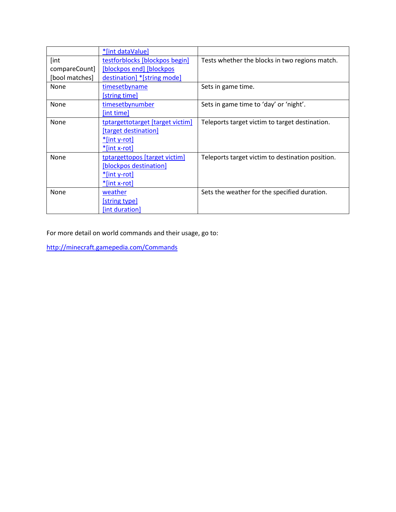|                | *[int dataValue]                 |                                                  |
|----------------|----------------------------------|--------------------------------------------------|
| [int           | testforblocks [blockpos begin]   | Tests whether the blocks in two regions match.   |
| compareCount]  | [blockpos end] [blockpos]        |                                                  |
| [bool matches] | destination] *[string mode]      |                                                  |
| None           | timesetbyname                    | Sets in game time.                               |
|                | [string time]                    |                                                  |
| None           | timesetbynumber                  | Sets in game time to 'day' or 'night'.           |
|                | [int time]                       |                                                  |
| None           | tptargettotarget [target victim] | Teleports target victim to target destination.   |
|                | [target destination]             |                                                  |
|                | <u>*[int y-rot]</u>              |                                                  |
|                | *[int x-rot]                     |                                                  |
| None           | tptargettopos [target victim]    | Teleports target victim to destination position. |
|                | [blockpos destination]           |                                                  |
|                | <u>*[int y-rot]</u>              |                                                  |
|                | $*$ [int x-rot]                  |                                                  |
| None           | weather                          | Sets the weather for the specified duration.     |
|                | <b>[string type]</b>             |                                                  |
|                | [int duration]                   |                                                  |

<span id="page-3-0"></span>For more detail on world commands and their usage, go to:

<http://minecraft.gamepedia.com/Commands>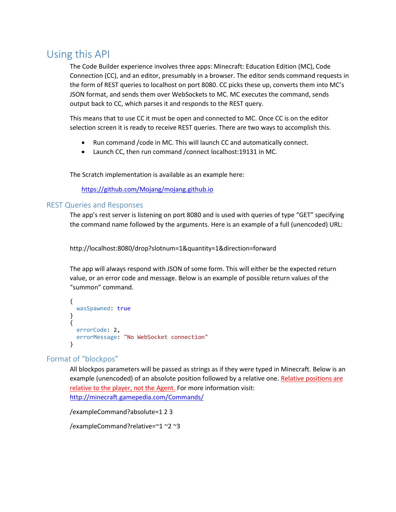# <span id="page-4-0"></span>Using this API

The Code Builder experience involves three apps: Minecraft: Education Edition (MC), Code Connection (CC), and an editor, presumably in a browser. The editor sends command requests in the form of REST queries to localhost on port 8080. CC picks these up, converts them into MC's JSON format, and sends them over WebSockets to MC. MC executes the command, sends output back to CC, which parses it and responds to the REST query.

This means that to use CC it must be open and connected to MC. Once CC is on the editor selection screen it is ready to receive REST queries. There are two ways to accomplish this.

- Run command /code in MC. This will launch CC and automatically connect.
- Launch CC, then run command /connect localhost:19131 in MC.

The Scratch implementation is available as an example here:

<https://github.com/Mojang/mojang.github.io>

#### <span id="page-4-1"></span>REST Queries and Responses

The app's rest server is listening on port 8080 and is used with queries of type "GET" specifying the command name followed by the arguments. Here is an example of a full (unencoded) URL:

http://localhost:8080/drop?slotnum=1&quantity=1&direction=forward

The app will always respond with JSON of some form. This will either be the expected return value, or an error code and message. Below is an example of possible return values of the "summon" command.

```
{
  wasSpawned: true
}
{
   errorCode: 2,
   errorMessage: "No WebSocket connection"
}
```
#### <span id="page-4-2"></span>Format of "blockpos"

All blockpos parameters will be passed as strings as if they were typed in Minecraft. Below is an example (unencoded) of an absolute position followed by a relative one. Relative positions are relative to the player, not the Agent. For more information visit: <http://minecraft.gamepedia.com/Commands/>

/exampleCommand?absolute=1 2 3

/exampleCommand?relative=~1 ~2 ~3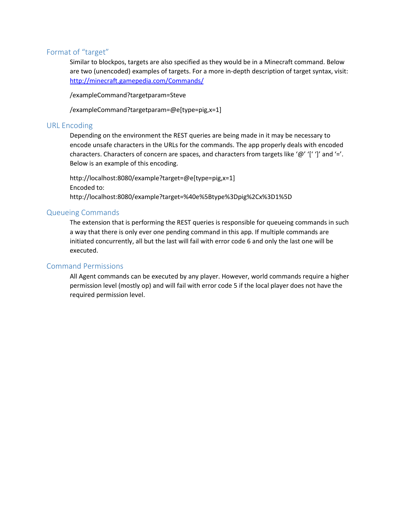#### <span id="page-5-0"></span>Format of "target"

Similar to blockpos, targets are also specified as they would be in a Minecraft command. Below are two (unencoded) examples of targets. For a more in-depth description of target syntax, visit: [http://minecraft.gamepedia.com/Commands/](http://minecraft.gamepedia.com/Commands)

/exampleCommand?targetparam=Steve

/exampleCommand?targetparam=@e[type=pig,x=1]

#### <span id="page-5-1"></span>URL Encoding

Depending on the environment the REST queries are being made in it may be necessary to encode unsafe characters in the URLs for the commands. The app properly deals with encoded characters. Characters of concern are spaces, and characters from targets like '@' '[' ']' and '='. Below is an example of this encoding.

http://localhost:8080/example?target=@e[type=pig,x=1] Encoded to: http://localhost:8080/example?target=%40e%5Btype%3Dpig%2Cx%3D1%5D

#### <span id="page-5-2"></span>Queueing Commands

The extension that is performing the REST queries is responsible for queueing commands in such a way that there is only ever one pending command in this app. If multiple commands are initiated concurrently, all but the last will fail with error code 6 and only the last one will be executed.

### <span id="page-5-3"></span>Command Permissions

All Agent commands can be executed by any player. However, world commands require a higher permission level (mostly op) and will fail with error code 5 if the local player does not have the required permission level.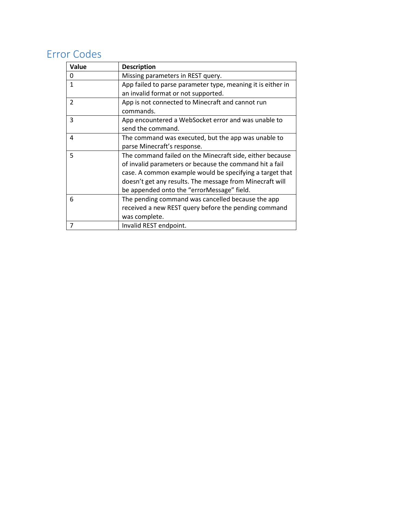# <span id="page-6-0"></span>Error Codes

<span id="page-6-1"></span>

| Value          | <b>Description</b>                                          |
|----------------|-------------------------------------------------------------|
| 0              | Missing parameters in REST query.                           |
| $\mathbf{1}$   | App failed to parse parameter type, meaning it is either in |
|                | an invalid format or not supported.                         |
| $\overline{2}$ | App is not connected to Minecraft and cannot run            |
|                | commands.                                                   |
| 3              | App encountered a WebSocket error and was unable to         |
|                | send the command.                                           |
| 4              | The command was executed, but the app was unable to         |
|                | parse Minecraft's response.                                 |
| 5              | The command failed on the Minecraft side, either because    |
|                | of invalid parameters or because the command hit a fail     |
|                | case. A common example would be specifying a target that    |
|                | doesn't get any results. The message from Minecraft will    |
|                | be appended onto the "errorMessage" field.                  |
| 6              | The pending command was cancelled because the app           |
|                | received a new REST query before the pending command        |
|                | was complete.                                               |
| 7              | Invalid REST endpoint.                                      |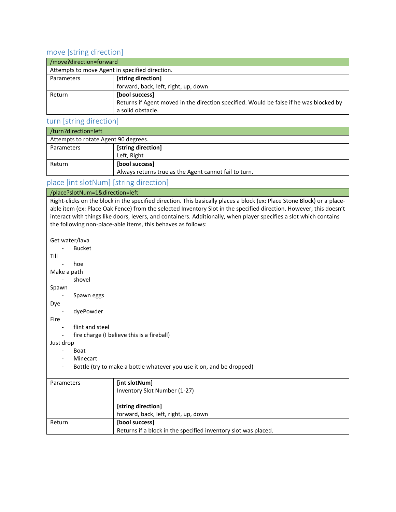### move [string direction]

| /move?direction=forward                        |                                                                                        |  |
|------------------------------------------------|----------------------------------------------------------------------------------------|--|
| Attempts to move Agent in specified direction. |                                                                                        |  |
| Parameters                                     | [string direction]                                                                     |  |
|                                                | forward, back, left, right, up, down                                                   |  |
| Return                                         | [bool success]                                                                         |  |
|                                                | Returns if Agent moved in the direction specified. Would be false if he was blocked by |  |
|                                                | a solid obstacle.                                                                      |  |

#### <span id="page-7-0"></span>turn [string direction]

| /turn?direction=left                 |                                                       |  |
|--------------------------------------|-------------------------------------------------------|--|
| Attempts to rotate Agent 90 degrees. |                                                       |  |
| Parameters                           | [string direction]                                    |  |
|                                      | Left, Right                                           |  |
| Return                               | [bool success]                                        |  |
|                                      | Always returns true as the Agent cannot fail to turn. |  |

### place [int slotNum] [string direction]

#### /place?slotNum=1&direction=left

Right-clicks on the block in the specified direction. This basically places a block (ex: Place Stone Block) or a placeable item (ex: Place Oak Fence) from the selected Inventory Slot in the specified direction. However, this doesn't interact with things like doors, levers, and containers. Additionally, when player specifies a slot which contains the following non-place-able items, this behaves as follows:

Get water/lava

- Bucket Till - hoe Make a path - shovel Spawn

#### - Spawn eggs

#### Dye

- dyePowder

Fire

- flint and steel
- fire charge (I believe this is a fireball)

Just drop

- Boat
- Minecart
- Bottle (try to make a bottle whatever you use it on, and be dropped)

| Parameters | [int slotNum]                                                  |
|------------|----------------------------------------------------------------|
|            | Inventory Slot Number (1-27)                                   |
|            |                                                                |
|            |                                                                |
|            | [string direction]                                             |
|            | forward, back, left, right, up, down                           |
|            |                                                                |
| Return     | [bool success]                                                 |
|            | Returns if a block in the specified inventory slot was placed. |
|            |                                                                |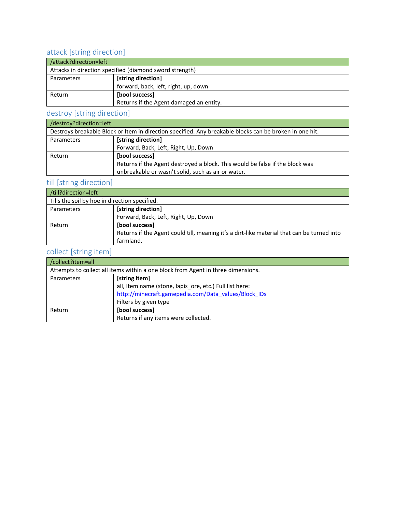### <span id="page-8-0"></span>attack [string direction]

| /attack?direction=left                                  |                                         |  |
|---------------------------------------------------------|-----------------------------------------|--|
| Attacks in direction specified (diamond sword strength) |                                         |  |
| Parameters                                              | [string direction]                      |  |
|                                                         | forward, back, left, right, up, down    |  |
| Return                                                  | [bool success]                          |  |
|                                                         | Returns if the Agent damaged an entity. |  |

### <span id="page-8-2"></span>destroy [string direction]

| /destroy?direction=left                                                                                 |                                                                              |  |
|---------------------------------------------------------------------------------------------------------|------------------------------------------------------------------------------|--|
| Destroys breakable Block or Item in direction specified. Any breakable blocks can be broken in one hit. |                                                                              |  |
| Parameters                                                                                              | [string direction]                                                           |  |
|                                                                                                         | Forward, Back, Left, Right, Up, Down                                         |  |
| Return                                                                                                  | [bool success]                                                               |  |
|                                                                                                         | Returns if the Agent destroyed a block. This would be false if the block was |  |
|                                                                                                         | unbreakable or wasn't solid, such as air or water.                           |  |

### <span id="page-8-1"></span>till [string direction]

| /till?direction=left                          |                                                                                            |
|-----------------------------------------------|--------------------------------------------------------------------------------------------|
| Tills the soil by hoe in direction specified. |                                                                                            |
| Parameters                                    | [string direction]                                                                         |
|                                               | Forward, Back, Left, Right, Up, Down                                                       |
| Return                                        | [bool success]                                                                             |
|                                               | Returns if the Agent could till, meaning it's a dirt-like material that can be turned into |
|                                               | farmland.                                                                                  |

### collect [string item]

<span id="page-8-3"></span>

| /collect?item=all                                                                |                                                         |
|----------------------------------------------------------------------------------|---------------------------------------------------------|
| Attempts to collect all items within a one block from Agent in three dimensions. |                                                         |
| Parameters                                                                       | [string item]                                           |
|                                                                                  | all, Item name (stone, lapis_ore, etc.) Full list here: |
|                                                                                  | http://minecraft.gamepedia.com/Data_values/Block_IDs    |
|                                                                                  | Filters by given type                                   |
| Return                                                                           | [bool success]                                          |
|                                                                                  | Returns if any items were collected.                    |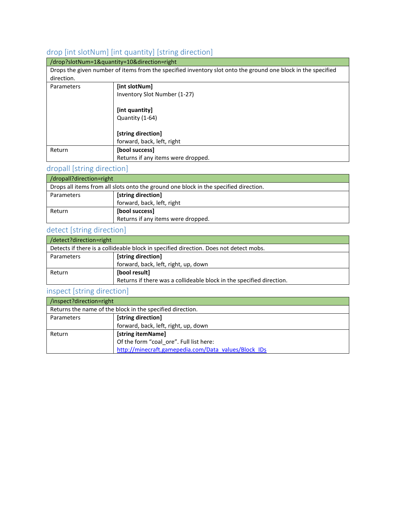### drop [int slotNum] [int quantity] [string direction]

|            | /drop?slotNum=1&quantity=10&direction=right                                                                  |
|------------|--------------------------------------------------------------------------------------------------------------|
|            | Drops the given number of items from the specified inventory slot onto the ground one block in the specified |
| direction. |                                                                                                              |
| Parameters | [int slotNum]                                                                                                |
|            | Inventory Slot Number (1-27)                                                                                 |
|            |                                                                                                              |
|            | [int quantity]                                                                                               |
|            | Quantity (1-64)                                                                                              |
|            |                                                                                                              |
|            | [string direction]                                                                                           |
|            | forward, back, left, right                                                                                   |
| Return     | [bool success]                                                                                               |
|            | Returns if any items were dropped.                                                                           |

# <span id="page-9-0"></span>dropall [string direction]

| /dropall?direction=right                                                             |                                    |
|--------------------------------------------------------------------------------------|------------------------------------|
| Drops all items from all slots onto the ground one block in the specified direction. |                                    |
| Parameters                                                                           | [string direction]                 |
|                                                                                      | forward, back, left, right         |
| Return                                                                               | [bool success]                     |
|                                                                                      | Returns if any items were dropped. |

### detect [string direction]

| detect?direction=right                                                                |                                                                      |
|---------------------------------------------------------------------------------------|----------------------------------------------------------------------|
| Detects if there is a collideable block in specified direction. Does not detect mobs. |                                                                      |
| Parameters                                                                            | [string direction]                                                   |
|                                                                                       | forward, back, left, right, up, down                                 |
| Return                                                                                | [bool result]                                                        |
|                                                                                       | Returns if there was a collideable block in the specified direction. |

<u> 1989 - Johann Stoff, deutscher Stoffen und der Stoffen und der Stoffen und der Stoffen und der Stoffen und der</u>

### <span id="page-9-1"></span>inspect [string direction]

| /inspect?direction=right                                  |                                                      |
|-----------------------------------------------------------|------------------------------------------------------|
| Returns the name of the block in the specified direction. |                                                      |
| Parameters                                                | [string direction]                                   |
|                                                           | forward, back, left, right, up, down                 |
| Return                                                    | [string itemName]                                    |
|                                                           | Of the form "coal ore". Full list here:              |
|                                                           | http://minecraft.gamepedia.com/Data_values/Block_IDs |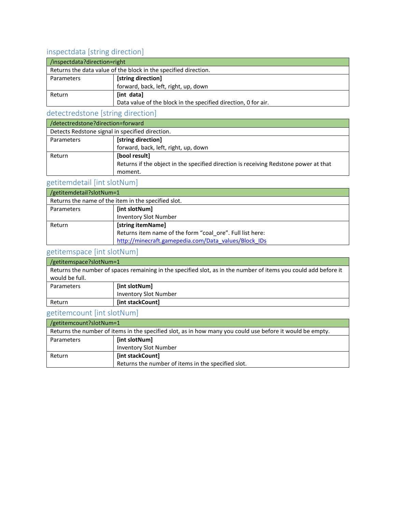### <span id="page-10-1"></span>inspectdata [string direction]

| /inspectdata?direction=right                                    |                                                                |
|-----------------------------------------------------------------|----------------------------------------------------------------|
| Returns the data value of the block in the specified direction. |                                                                |
| Parameters                                                      | [string direction]                                             |
|                                                                 | forward, back, left, right, up, down                           |
| Return                                                          | [int data]                                                     |
|                                                                 | Data value of the block in the specified direction, 0 for air. |

### <span id="page-10-0"></span>detectredstone [string direction]

| /detectredstone?direction=forward               |                                                                                      |
|-------------------------------------------------|--------------------------------------------------------------------------------------|
| Detects Redstone signal in specified direction. |                                                                                      |
| Parameters                                      | [string direction]                                                                   |
|                                                 | forward, back, left, right, up, down                                                 |
| Return                                          | [bool result]                                                                        |
|                                                 | Returns if the object in the specified direction is receiving Redstone power at that |
|                                                 | moment.                                                                              |

### <span id="page-10-2"></span>getitemdetail [int slotNum]

| /getitemdetail?slotNum=1                            |                                                           |
|-----------------------------------------------------|-----------------------------------------------------------|
| Returns the name of the item in the specified slot. |                                                           |
| Parameters                                          | [int slotNum]                                             |
|                                                     | <b>Inventory Slot Number</b>                              |
| Return                                              | [string itemName]                                         |
|                                                     | Returns item name of the form "coal ore". Full list here: |
|                                                     | http://minecraft.gamepedia.com/Data values/Block IDs      |

### <span id="page-10-3"></span>getitemspace [int slotNum]

| /getitemspace?slotNum=1                                                                                         |                              |
|-----------------------------------------------------------------------------------------------------------------|------------------------------|
| Returns the number of spaces remaining in the specified slot, as in the number of items you could add before it |                              |
| would be full.                                                                                                  |                              |
| Parameters                                                                                                      | [int slotNum]                |
|                                                                                                                 | <b>Inventory Slot Number</b> |
| Return                                                                                                          | [int stackCount]             |

### getitemcount [int slotNum]

<span id="page-10-4"></span>

| /getitemcount?slotNum=1                                                                                   |                                                    |
|-----------------------------------------------------------------------------------------------------------|----------------------------------------------------|
| Returns the number of items in the specified slot, as in how many you could use before it would be empty. |                                                    |
| Parameters                                                                                                | [int slotNum]                                      |
|                                                                                                           | <b>Inventory Slot Number</b>                       |
| Return                                                                                                    | [int stackCount]                                   |
|                                                                                                           | Returns the number of items in the specified slot. |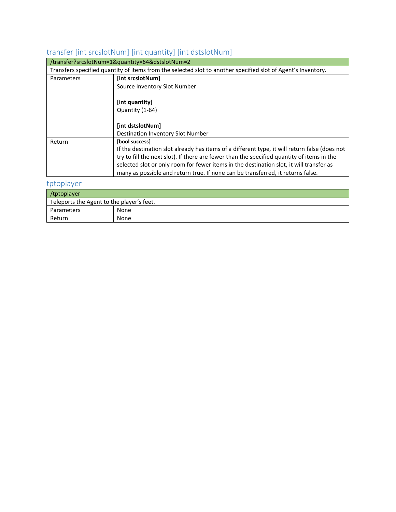## transfer [int srcslotNum] [int quantity] [int dstslotNum]

| /transfer?srcslotNum=1&quantity=64&dstslotNum=2 |                                                                                                              |
|-------------------------------------------------|--------------------------------------------------------------------------------------------------------------|
|                                                 | Transfers specified quantity of items from the selected slot to another specified slot of Agent's Inventory. |
| Parameters                                      | [int srcslotNum]                                                                                             |
|                                                 | Source Inventory Slot Number                                                                                 |
|                                                 |                                                                                                              |
|                                                 | [int quantity]                                                                                               |
|                                                 | Quantity (1-64)                                                                                              |
|                                                 |                                                                                                              |
|                                                 | [int dstslotNum]                                                                                             |
|                                                 | <b>Destination Inventory Slot Number</b>                                                                     |
| Return                                          | [bool success]                                                                                               |
|                                                 | If the destination slot already has items of a different type, it will return false (does not                |
|                                                 | try to fill the next slot). If there are fewer than the specified quantity of items in the                   |
|                                                 | selected slot or only room for fewer items in the destination slot, it will transfer as                      |
|                                                 | many as possible and return true. If none can be transferred, it returns false.                              |

### <span id="page-11-1"></span>tptoplayer

<span id="page-11-0"></span>

| /tptoplayer                               |      |
|-------------------------------------------|------|
| Teleports the Agent to the player's feet. |      |
| Parameters                                | None |
| Return                                    | None |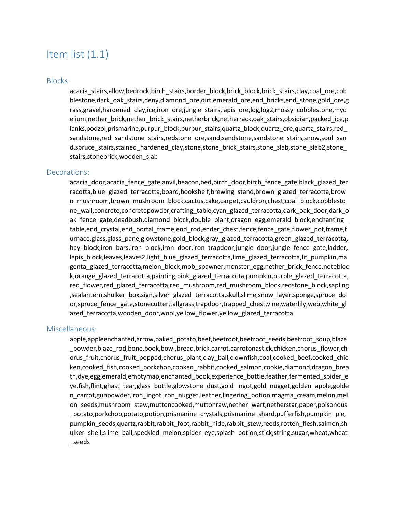## <span id="page-12-1"></span><span id="page-12-0"></span>Item list (1.1)

#### Blocks:

acacia stairs,allow,bedrock,birch stairs,border block,brick block,brick stairs,clay,coal ore,cob blestone,dark\_oak\_stairs,deny,diamond\_ore,dirt,emerald\_ore,end\_bricks,end\_stone,gold\_ore,g rass,gravel,hardened\_clay,ice,iron\_ore,jungle\_stairs,lapis\_ore,log,log2,mossy\_cobblestone,myc elium,nether brick,nether brick stairs,netherbrick,netherrack,oak stairs,obsidian,packed ice,p lanks,podzol,prismarine,purpur\_block,purpur\_stairs,quartz\_block,quartz\_ore,quartz\_stairs,red sandstone,red\_sandstone\_stairs,redstone\_ore,sand,sandstone,sandstone\_stairs,snow,soul\_san d,spruce stairs,stained hardened clay,stone,stone brick stairs, stone slab, stone slab2, stone stairs,stonebrick,wooden\_slab

#### <span id="page-12-2"></span>Decorations:

acacia door,acacia fence gate,anvil,beacon,bed,birch door,birch fence gate,black glazed ter racotta,blue\_glazed\_terracotta,board,bookshelf,brewing\_stand,brown\_glazed\_terracotta,brow n\_mushroom,brown\_mushroom\_block,cactus,cake,carpet,cauldron,chest,coal\_block,cobblesto ne\_wall,concrete,concretepowder,crafting\_table,cyan\_glazed\_terracotta,dark\_oak\_door,dark\_o ak\_fence\_gate,deadbush,diamond\_block,double\_plant,dragon\_egg,emerald\_block,enchanting\_ table,end crystal,end portal frame,end rod,ender chest,fence,fence gate,flower pot,frame,f urnace,glass,glass\_pane,glowstone,gold\_block,gray\_glazed\_terracotta,green\_glazed\_terracotta, hay\_block,iron\_bars,iron\_block,iron\_door,iron\_trapdoor,jungle\_door,jungle\_fence\_gate,ladder, lapis\_block,leaves,leaves2,light\_blue\_glazed\_terracotta,lime\_glazed\_terracotta,lit\_pumpkin,ma genta\_glazed\_terracotta,melon\_block,mob\_spawner,monster\_egg,nether\_brick\_fence,notebloc k,orange\_glazed\_terracotta,painting,pink\_glazed\_terracotta,pumpkin,purple\_glazed\_terracotta, red\_flower,red\_glazed\_terracotta,red\_mushroom,red\_mushroom\_block,redstone\_block,sapling ,sealantern,shulker\_box,sign,silver\_glazed\_terracotta,skull,slime,snow\_layer,sponge,spruce\_do or, spruce fence gate, stonecutter, tallgrass, trapdoor, trapped chest, vine, waterlily, web, white gl azed\_terracotta,wooden\_door,wool,yellow\_flower,yellow\_glazed\_terracotta

#### <span id="page-12-3"></span>Miscellaneous:

apple,appleenchanted,arrow,baked\_potato,beef,beetroot,beetroot\_seeds,beetroot\_soup,blaze \_powder,blaze\_rod,bone,book,bowl,bread,brick,carrot,carrotonastick,chicken,chorus\_flower,ch orus fruit,chorus fruit popped,chorus plant,clay ball,clownfish,coal,cooked beef,cooked chic ken,cooked\_fish,cooked\_porkchop,cooked\_rabbit,cooked\_salmon,cookie,diamond,dragon\_brea th,dye,egg,emerald,emptymap,enchanted book,experience bottle,feather,fermented spider e ye,fish,flint,ghast\_tear,glass\_bottle,glowstone\_dust,gold\_ingot,gold\_nugget,golden\_apple,golde n\_carrot,gunpowder,iron\_ingot,iron\_nugget,leather,lingering\_potion,magma\_cream,melon,mel on seeds,mushroom stew,muttoncooked,muttonraw,nether wart,netherstar,paper,poisonous \_potato,porkchop,potato,potion,prismarine\_crystals,prismarine\_shard,pufferfish,pumpkin\_pie, pumpkin\_seeds,quartz,rabbit,rabbit\_foot,rabbit\_hide,rabbit\_stew,reeds,rotten\_flesh,salmon,sh ulker\_shell,slime\_ball,speckled\_melon,spider\_eye,splash\_potion,stick,string,sugar,wheat,wheat \_seeds